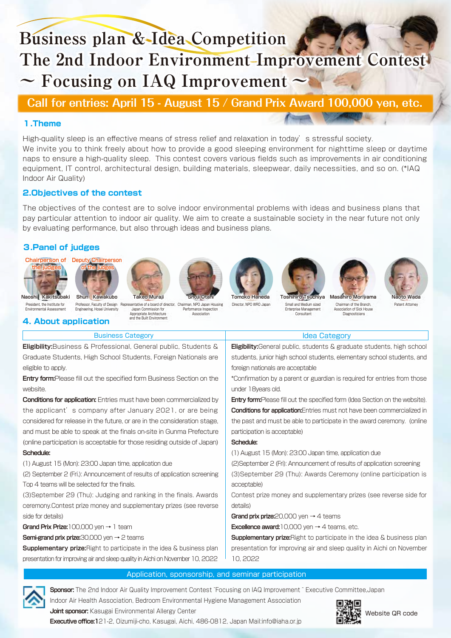# **Business plan & Idea Competition The 2nd Indoor Environment Improvement Contest ~ Focusing on IAQ Improvement ~**

# **Call for entries: April 15 - August 15 / Grand Prix Award 100,000 yen, etc.**

## **1.Theme**

High-quality sleep is an effective means of stress relief and relaxation in today's stressful society. We invite you to think freely about how to provide a good sleeping environment for nighttime sleep or daytime naps to ensure a high-quality sleep. This contest covers various fields such as improvements in air conditioning equipment, IT control, architectural design, building materials, sleepwear, daily necessities, and so on. (\*IAQ Indoor Air Quality)

### **2.Objectives of the contest**

The objectives of the contest are to solve indoor environmental problems with ideas and business plans that pay particular attention to indoor air quality. We aim to create a sustainable society in the near future not only by evaluating performance, but also through ideas and business plans.

## **3.Panel of judges**









Business Category **Internal Category Idea Category** 









President, the Institute for Environmental Assessment

# **4. About application** Engineering, Hosei University

Professor, Faculty of Design Representative of a board of director, Chairman, NPO Japan Housing Japan Commission for Appropriate Architecture and the Built Environment Performance Inspection **Association** 

**Tomoko Haneda**  Director, NPO WRO Japan

**Toshihiro Tsuchiya**  Small and Medium sized Enterprise Management Consultant

**Masahiro Moriyama**  Chairman of the Branch, Association of Sick House Diagnosticians



| <b>Eligibility:</b> Business & Professional. General public. Students &        | <b>Eligibility:</b> General public, students & graduate students, high school        |
|--------------------------------------------------------------------------------|--------------------------------------------------------------------------------------|
| Graduate Students, High School Students, Foreign Nationals are                 | students, junior high school students, elementary school students, and               |
| eligible to apply.                                                             | foreign nationals are acceptable                                                     |
| <b>Entry form:</b> Please fill out the specified form Business Section on the  | *Confirmation by a parent or guardian is required for entries from those             |
| website.                                                                       | under 18years old.                                                                   |
| <b>Conditions for application:</b> Entries must have been commercialized by    | <b>Entry form:</b> Please fill out the specified form (Idea Section on the website). |
| the applicant's company after January 2021, or are being                       | <b>Conditions for application:</b> Entries must not have been commercialized in      |
| considered for release in the future, or are in the consideration stage,       | the past and must be able to participate in the award ceremony. (online              |
| and must be able to speak at the finals on-site in Gunma Prefecture            | participation is acceptable)                                                         |
| (online participation is acceptable for those residing outside of Japan)       | Schedule:                                                                            |
| Schedule:                                                                      | (1) August 15 (Mon): 23:00 Japan time, application due                               |
| (1) August 15 (Mon): 23:00 Japan time, application due                         | (2) September 2 (Fri): Announcement of results of application screening              |
| (2) September 2 (Fri.): Announcement of results of application screening       | (3) September 29 (Thu): Awards Ceremony (online participation is                     |
| Top 4 teams will be selected for the finals.                                   | acceptable)                                                                          |
| (3) September 29 (Thu): Judging and ranking in the finals. Awards              | Contest prize money and supplementary prizes (see reverse side for                   |
| ceremony. Contest prize money and supplementary prizes (see reverse            | details)                                                                             |
| side for details)                                                              | Grand prix prize: $20,000$ yen $\rightarrow$ 4 teams                                 |
| Grand Prix Prize: $100.000$ ven $\rightarrow$ 1 team                           | <b>Excellence award:</b> 10,000 yen $\rightarrow$ 4 teams, etc.                      |
| <b>Semi-grand prix prize:</b> 30,000 yen $\rightarrow$ 2 teams                 | <b>Supplementary prize:</b> Right to participate in the idea & business plan         |
| <b>Supplementary prize:</b> Right to participate in the idea & business plan   | presentation for improving air and sleep quality in Aichi on November                |
| presentation for improving air and sleep quality in Aichi on November 10, 2022 | 10, 2022                                                                             |
| Application, sponsorship, and seminar participation                            |                                                                                      |
|                                                                                |                                                                                      |

**Sponsor:** The 2nd Indoor Air Quality Improvement Contest ̃Focusing on IAQ Improvement ̃ Executive Committee,Japan

Indoor Air Health Association, Bedroom Environmental Hygiene Management Association **Joint sponsor:** Kasugai Environmental Allergy Center **Executive office:1**21-2, Oizumiji-cho, Kasugai, Aichi, 486-0812, Japan Mail:info@iaha.or.jp